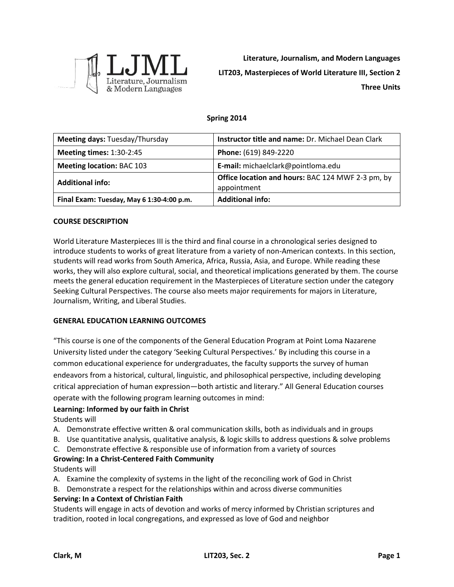

**Literature, Journalism, and Modern Languages LIT203, Masterpieces of World Literature III, Section 2 Three Units**

# **Spring 2014**

| Meeting days: Tuesday/Thursday            | Instructor title and name: Dr. Michael Dean Clark                       |
|-------------------------------------------|-------------------------------------------------------------------------|
| <b>Meeting times: 1:30-2:45</b>           | Phone: (619) 849-2220                                                   |
| <b>Meeting location: BAC 103</b>          | E-mail: michaelclark@pointloma.edu                                      |
| <b>Additional info:</b>                   | <b>Office location and hours: BAC 124 MWF 2-3 pm, by</b><br>appointment |
| Final Exam: Tuesday, May 6 1:30-4:00 p.m. | <b>Additional info:</b>                                                 |

#### **COURSE DESCRIPTION**

World Literature Masterpieces III is the third and final course in a chronological series designed to introduce students to works of great literature from a variety of non-American contexts. In this section, students will read works from South America, Africa, Russia, Asia, and Europe. While reading these works, they will also explore cultural, social, and theoretical implications generated by them. The course meets the general education requirement in the Masterpieces of Literature section under the category Seeking Cultural Perspectives. The course also meets major requirements for majors in Literature, Journalism, Writing, and Liberal Studies.

#### **GENERAL EDUCATION LEARNING OUTCOMES**

"This course is one of the components of the General Education Program at Point Loma Nazarene University listed under the category 'Seeking Cultural Perspectives.' By including this course in a common educational experience for undergraduates, the faculty supports the survey of human endeavors from a historical, cultural, linguistic, and philosophical perspective, including developing critical appreciation of human expression—both artistic and literary." All General Education courses operate with the following program learning outcomes in mind:

# **Learning: Informed by our faith in Christ**

Students will

- A. Demonstrate effective written & oral communication skills, both as individuals and in groups
- B. Use quantitative analysis, qualitative analysis, & logic skills to address questions & solve problems
- C. Demonstrate effective & responsible use of information from a variety of sources

# **Growing: In a Christ-Centered Faith Community**

Students will

- A. Examine the complexity of systems in the light of the reconciling work of God in Christ
- B. Demonstrate a respect for the relationships within and across diverse communities

#### **Serving: In a Context of Christian Faith**

Students will engage in acts of devotion and works of mercy informed by Christian scriptures and tradition, rooted in local congregations, and expressed as love of God and neighbor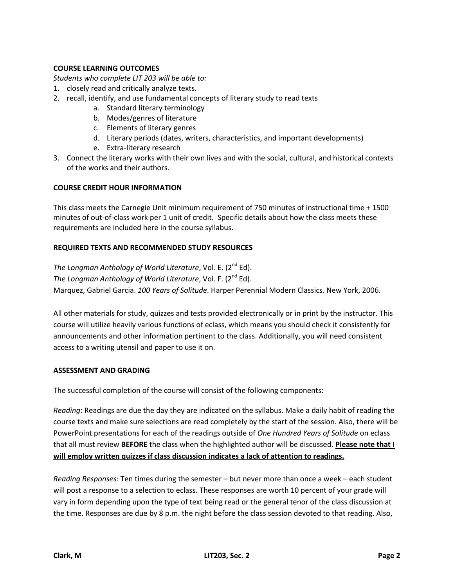# **COURSE LEARNING OUTCOMES**

*Students who complete LIT 203 will be able to:*

- 1. closely read and critically analyze texts.
- 2. recall, identify, and use fundamental concepts of literary study to read texts
	- a. Standard literary terminology
	- b. Modes/genres of literature
	- c. Elements of literary genres
	- d. Literary periods (dates, writers, characteristics, and important developments)
	- e. Extra-literary research
- 3. Connect the literary works with their own lives and with the social, cultural, and historical contexts of the works and their authors.

# **COURSE CREDIT HOUR INFORMATION**

This class meets the Carnegie Unit minimum requirement of 750 minutes of instructional time + 1500 minutes of out-of-class work per 1 unit of credit. Specific details about how the class meets these requirements are included here in the course syllabus.

# **REQUIRED TEXTS AND RECOMMENDED STUDY RESOURCES**

*The Longman Anthology of World Literature, Vol. E. (2<sup>nd</sup> Ed). The Longman Anthology of World Literature, Vol. F. (2<sup>nd</sup> Ed).* Marquez, Gabriel Garcia. *100 Years of Solitude*. Harper Perennial Modern Classics. New York, 2006.

All other materials for study, quizzes and tests provided electronically or in print by the instructor. This course will utilize heavily various functions of eclass, which means you should check it consistently for announcements and other information pertinent to the class. Additionally, you will need consistent access to a writing utensil and paper to use it on.

# **ASSESSMENT AND GRADING**

The successful completion of the course will consist of the following components:

*Reading*: Readings are due the day they are indicated on the syllabus. Make a daily habit of reading the course texts and make sure selections are read completely by the start of the session. Also, there will be PowerPoint presentations for each of the readings outside of *One Hundred Years of Solitude* on eclass that all must review **BEFORE** the class when the highlighted author will be discussed. **Please note that I will employ written quizzes if class discussion indicates a lack of attention to readings.**

*Reading Responses*: Ten times during the semester – but never more than once a week – each student will post a response to a selection to eclass. These responses are worth 10 percent of your grade will vary in form depending upon the type of text being read or the general tenor of the class discussion at the time. Responses are due by 8 p.m. the night before the class session devoted to that reading. Also,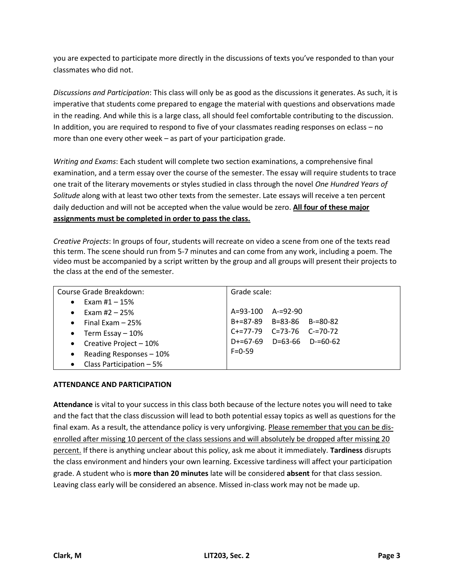you are expected to participate more directly in the discussions of texts you've responded to than your classmates who did not.

*Discussions and Participation*: This class will only be as good as the discussions it generates. As such, it is imperative that students come prepared to engage the material with questions and observations made in the reading. And while this is a large class, all should feel comfortable contributing to the discussion. In addition, you are required to respond to five of your classmates reading responses on eclass – no more than one every other week – as part of your participation grade.

*Writing and Exams*: Each student will complete two section examinations, a comprehensive final examination, and a term essay over the course of the semester. The essay will require students to trace one trait of the literary movements or styles studied in class through the novel *One Hundred Years of Solitude* along with at least two other texts from the semester. Late essays will receive a ten percent daily deduction and will not be accepted when the value would be zero. **All four of these major assignments must be completed in order to pass the class.**

*Creative Projects*: In groups of four, students will recreate on video a scene from one of the texts read this term. The scene should run from 5-7 minutes and can come from any work, including a poem. The video must be accompanied by a script written by the group and all groups will present their projects to the class at the end of the semester.

| Course Grade Breakdown:               | Grade scale:                    |
|---------------------------------------|---------------------------------|
| Exam #1 $-$ 15%<br>$\bullet$          |                                 |
| Exam #2 $-$ 25%<br>$\bullet$          | $A=93-100$ $A=92-90$            |
| Final Exam $-25%$<br>$\bullet$        | $B+=87-89$ $B=83-86$ $B==80-82$ |
| Term Essay $-10%$<br>$\bullet$        | C+=77-79 C=73-76 C-=70-72       |
| Creative Project - 10%<br>$\bullet$   | D+=67-69 D=63-66 D-=60-62       |
| Reading Responses - 10%<br>$\bullet$  | $F = 0.59$                      |
| Class Participation - 5%<br>$\bullet$ |                                 |

# **ATTENDANCE AND PARTICIPATION**

**Attendance** is vital to your success in this class both because of the lecture notes you will need to take and the fact that the class discussion will lead to both potential essay topics as well as questions for the final exam. As a result, the attendance policy is very unforgiving. Please remember that you can be disenrolled after missing 10 percent of the class sessions and will absolutely be dropped after missing 20 percent. If there is anything unclear about this policy, ask me about it immediately. **Tardiness** disrupts the class environment and hinders your own learning. Excessive tardiness will affect your participation grade. A student who is **more than 20 minutes** late will be considered **absent** for that class session. Leaving class early will be considered an absence. Missed in-class work may not be made up.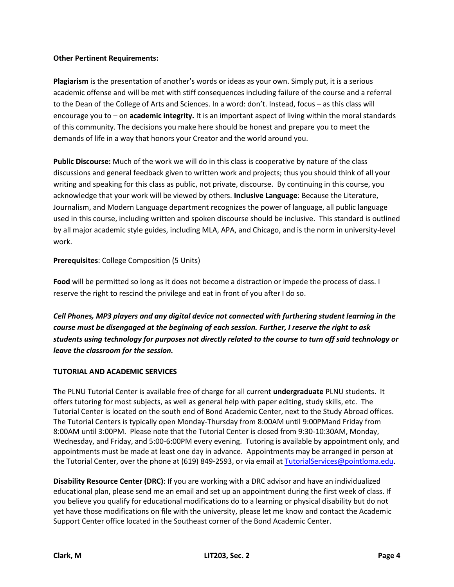# **Other Pertinent Requirements:**

**Plagiarism** is the presentation of another's words or ideas as your own. Simply put, it is a serious academic offense and will be met with stiff consequences including failure of the course and a referral to the Dean of the College of Arts and Sciences. In a word: don't. Instead, focus – as this class will encourage you to – on **academic integrity.** It is an important aspect of living within the moral standards of this community. The decisions you make here should be honest and prepare you to meet the demands of life in a way that honors your Creator and the world around you.

**Public Discourse:** Much of the work we will do in this class is cooperative by nature of the class discussions and general feedback given to written work and projects; thus you should think of all your writing and speaking for this class as public, not private, discourse. By continuing in this course, you acknowledge that your work will be viewed by others. **Inclusive Language**: Because the Literature, Journalism, and Modern Language department recognizes the power of language, all public language used in this course, including written and spoken discourse should be inclusive. This standard is outlined by all major academic style guides, including MLA, APA, and Chicago, and is the norm in university-level work.

**Prerequisites**: College Composition (5 Units)

**Food** will be permitted so long as it does not become a distraction or impede the process of class. I reserve the right to rescind the privilege and eat in front of you after I do so.

*Cell Phones, MP3 players and any digital device not connected with furthering student learning in the course must be disengaged at the beginning of each session. Further, I reserve the right to ask students using technology for purposes not directly related to the course to turn off said technology or leave the classroom for the session.*

# **TUTORIAL AND ACADEMIC SERVICES**

**T**he PLNU Tutorial Center is available free of charge for all current **undergraduate** PLNU students. It offers tutoring for most subjects, as well as general help with paper editing, study skills, etc. The Tutorial Center is located on the south end of Bond Academic Center, next to the Study Abroad offices. The Tutorial Centers is typically open Monday-Thursday from 8:00AM until 9:00PMand Friday from 8:00AM until 3:00PM. Please note that the Tutorial Center is closed from 9:30-10:30AM, Monday, Wednesday, and Friday, and 5:00-6:00PM every evening. Tutoring is available by appointment only, and appointments must be made at least one day in advance. Appointments may be arranged in person at the Tutorial Center, over the phone at (619) 849-2593, or via email at [TutorialServices@pointloma.edu.](mailto:TutorialServices@pointloma.edu)

**Disability Resource Center (DRC)**: If you are working with a DRC advisor and have an individualized educational plan, please send me an email and set up an appointment during the first week of class. If you believe you qualify for educational modifications do to a learning or physical disability but do not yet have those modifications on file with the university, please let me know and contact the Academic Support Center office located in the Southeast corner of the Bond Academic Center.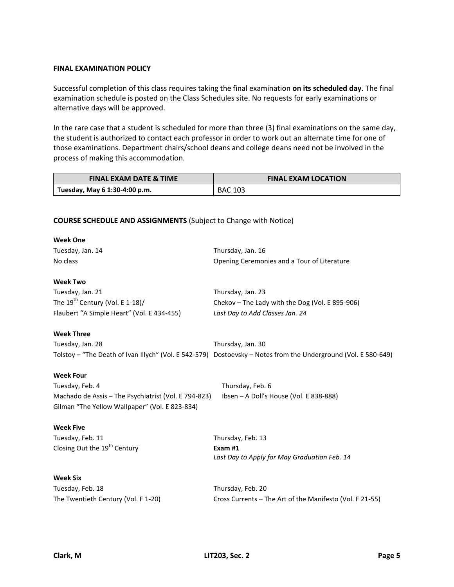#### **FINAL EXAMINATION POLICY**

Successful completion of this class requires taking the final examination **on its scheduled day**. The final examination schedule is posted on the Class Schedules site. No requests for early examinations or alternative days will be approved.

In the rare case that a student is scheduled for more than three (3) final examinations on the same day, the student is authorized to contact each professor in order to work out an alternate time for one of those examinations. Department chairs/school deans and college deans need not be involved in the process of making this accommodation.

| <b>FINAL EXAM DATE &amp; TIME</b> | <b>FINAL EXAM LOCATION</b> |
|-----------------------------------|----------------------------|
| Tuesday, May 6 1:30-4:00 p.m.     | <b>BAC 103</b>             |

#### **COURSE SCHEDULE AND ASSIGNMENTS** (Subject to Change with Notice)

| <b>Week One</b>                                      |                                                                                                                |
|------------------------------------------------------|----------------------------------------------------------------------------------------------------------------|
| Tuesday, Jan. 14                                     | Thursday, Jan. 16                                                                                              |
| No class                                             | Opening Ceremonies and a Tour of Literature                                                                    |
| <b>Week Two</b>                                      |                                                                                                                |
| Tuesday, Jan. 21                                     | Thursday, Jan. 23                                                                                              |
| The $19^{th}$ Century (Vol. E 1-18)/                 | Chekov – The Lady with the Dog (Vol. E 895-906)                                                                |
| Flaubert "A Simple Heart" (Vol. E 434-455)           | Last Day to Add Classes Jan. 24                                                                                |
| <b>Week Three</b>                                    |                                                                                                                |
| Tuesday, Jan. 28                                     | Thursday, Jan. 30                                                                                              |
|                                                      | Tolstoy - "The Death of Ivan Illych" (Vol. E 542-579) Dostoevsky - Notes from the Underground (Vol. E 580-649) |
| <b>Week Four</b>                                     |                                                                                                                |
| Tuesday, Feb. 4                                      | Thursday, Feb. 6                                                                                               |
| Machado de Assis - The Psychiatrist (Vol. E 794-823) | Ibsen - A Doll's House (Vol. E 838-888)                                                                        |
| Gilman "The Yellow Wallpaper" (Vol. E 823-834)       |                                                                                                                |
| <b>Week Five</b>                                     |                                                                                                                |
| Tuesday, Feb. 11                                     | Thursday, Feb. 13                                                                                              |
| Closing Out the 19 <sup>th</sup> Century             | Exam#1                                                                                                         |
|                                                      | Last Day to Apply for May Graduation Feb. 14                                                                   |
| <b>Week Six</b>                                      |                                                                                                                |
| Tuesday, Feb. 18                                     | Thursday, Feb. 20                                                                                              |
| The Twentieth Century (Vol. F 1-20)                  | Cross Currents - The Art of the Manifesto (Vol. F 21-55)                                                       |